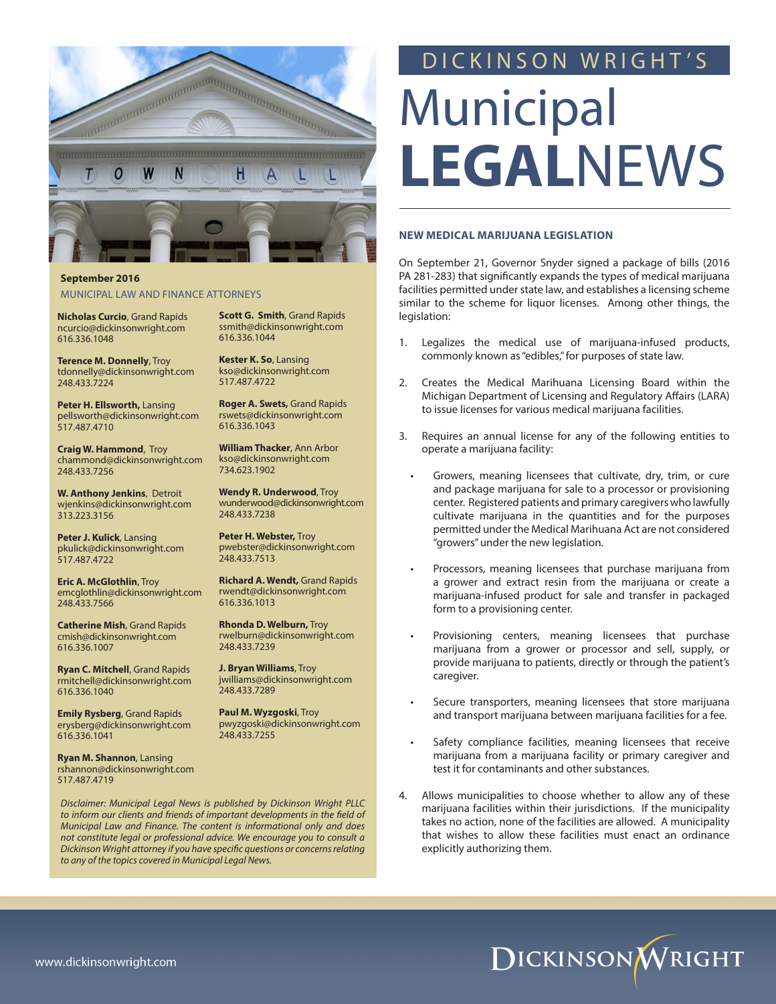

# **September 2016**  MUNICIPAL LAW AND FINANCE ATTORNEYS

**Nicholas Curcio**, Grand Rapids ncurcio@dickinsonwright.com 616.336.1048

**Terence M. Donnelly**, Troy tdonnelly@dickinsonwright.com 248.433.7224

**Peter H. Ellsworth,** Lansing pellsworth@dickinsonwright.com 517.487.4710

**Craig W. Hammond**, Troy chammond@dickinsonwright.com 248.433.7256

**W. Anthony Jenkins**, Detroit wjenkins@dickinsonwright.com 313.223.3156

**Peter J. Kulick**, Lansing pkulick@dickinsonwright.com 517.487.4722

**Eric A. McGlothlin**, Troy emcglothlin@dickinsonwright.com 248.433.7566

**Catherine Mish**, Grand Rapids cmish@dickinsonwright.com 616.336.1007

**Ryan C. Mitchell**, Grand Rapids rmitchell@dickinsonwright.com 616.336.1040

**Emily Rysberg**, Grand Rapids erysberg@dickinsonwright.com 616.336.1041

**Ryan M. Shannon**, Lansing rshannon@dickinsonwright.com 517.487.4719

*Disclaimer: Municipal Legal News is published by Dickinson Wright PLLC to inform our clients and friends of important developments in the field of Municipal Law and Finance. The content is informational only and does not constitute legal or professional advice. We encourage you to consult a Dickinson Wright attorney if you have specific questions or concerns relating* 

*to any of the topics covered in Municipal Legal News.*

**Scott G. Smith**, Grand Rapids ssmith@dickinsonwright.com 616.336.1044

**Kester K. So**, Lansing kso@dickinsonwright.com 517.487.4722

**Roger A. Swets,** Grand Rapids rswets@dickinsonwright.com 616.336.1043

**William Thacker**, Ann Arbor kso@dickinsonwright.com 734.623.1902

**Wendy R. Underwood**, Troy wunderwood@dickinsonwright.com 248.433.7238

**Peter H. Webster,** Troy pwebster@dickinsonwright.com 248.433.7513

**Richard A. Wendt,** Grand Rapids rwendt@dickinsonwright.com 616.336.1013

**Rhonda D. Welburn,** Troy rwelburn@dickinsonwright.com 248.433.7239

**J. Bryan Williams**, Troy jwilliams@dickinsonwright.com 248.433.7289

**Paul M. Wyzgoski**, Troy pwyzgoski@dickinsonwright.com 248.433.7255

# DICKINSON WRIGHT'S

# Municipal **LEGAL**NEWS

#### **NEW MEDICAL MARIJUANA LEGISLATION**

On September 21, Governor Snyder signed a package of bills (2016 PA 281-283) that significantly expands the types of medical marijuana facilities permitted under state law, and establishes a licensing scheme similar to the scheme for liquor licenses. Among other things, the legislation:

- 1. Legalizes the medical use of marijuana-infused products, commonly known as "edibles," for purposes of state law.
- 2. Creates the Medical Marihuana Licensing Board within the Michigan Department of Licensing and Regulatory Affairs (LARA) to issue licenses for various medical marijuana facilities.
- 3. Requires an annual license for any of the following entities to operate a marijuana facility:
	- Growers, meaning licensees that cultivate, dry, trim, or cure and package marijuana for sale to a processor or provisioning center. Registered patients and primary caregivers who lawfully cultivate marijuana in the quantities and for the purposes permitted under the Medical Marihuana Act are not considered "growers" under the new legislation.
	- Processors, meaning licensees that purchase marijuana from a grower and extract resin from the marijuana or create a marijuana-infused product for sale and transfer in packaged form to a provisioning center.
	- Provisioning centers, meaning licensees that purchase marijuana from a grower or processor and sell, supply, or provide marijuana to patients, directly or through the patient's caregiver.
	- Secure transporters, meaning licensees that store marijuana and transport marijuana between marijuana facilities for a fee.
	- Safety compliance facilities, meaning licensees that receive marijuana from a marijuana facility or primary caregiver and test it for contaminants and other substances.
- 4. Allows municipalities to choose whether to allow any of these marijuana facilities within their jurisdictions. If the municipality takes no action, none of the facilities are allowed. A municipality that wishes to allow these facilities must enact an ordinance explicitly authorizing them.

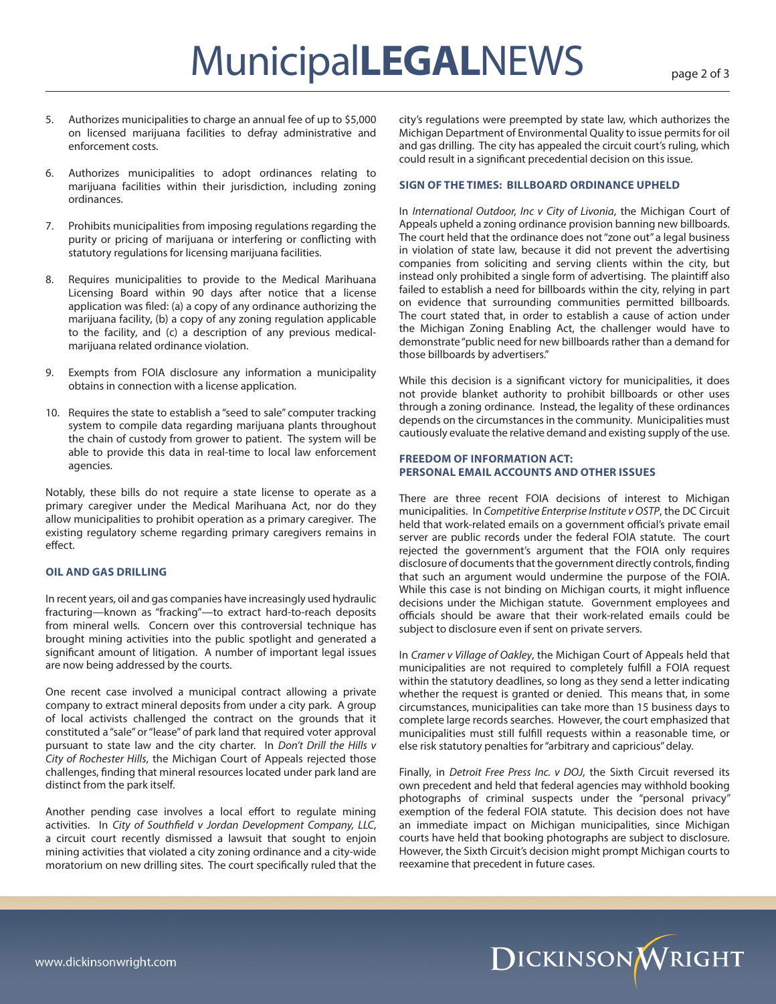- 5. Authorizes municipalities to charge an annual fee of up to \$5,000 on licensed marijuana facilities to defray administrative and enforcement costs.
- 6. Authorizes municipalities to adopt ordinances relating to marijuana facilities within their jurisdiction, including zoning ordinances.
- 7. Prohibits municipalities from imposing regulations regarding the purity or pricing of marijuana or interfering or conflicting with statutory regulations for licensing marijuana facilities.
- 8. Requires municipalities to provide to the Medical Marihuana Licensing Board within 90 days after notice that a license application was filed: (a) a copy of any ordinance authorizing the marijuana facility, (b) a copy of any zoning regulation applicable to the facility, and (c) a description of any previous medicalmarijuana related ordinance violation.
- 9. Exempts from FOIA disclosure any information a municipality obtains in connection with a license application.
- 10. Requires the state to establish a "seed to sale" computer tracking system to compile data regarding marijuana plants throughout the chain of custody from grower to patient. The system will be able to provide this data in real-time to local law enforcement agencies.

Notably, these bills do not require a state license to operate as a primary caregiver under the Medical Marihuana Act, nor do they allow municipalities to prohibit operation as a primary caregiver. The existing regulatory scheme regarding primary caregivers remains in effect.

#### **OIL AND GAS DRILLING**

In recent years, oil and gas companies have increasingly used hydraulic fracturing—known as "fracking"—to extract hard-to-reach deposits from mineral wells. Concern over this controversial technique has brought mining activities into the public spotlight and generated a significant amount of litigation. A number of important legal issues are now being addressed by the courts.

One recent case involved a municipal contract allowing a private company to extract mineral deposits from under a city park. A group of local activists challenged the contract on the grounds that it constituted a "sale" or "lease" of park land that required voter approval pursuant to state law and the city charter. In *Don't Drill the Hills v City of Rochester Hills*, the Michigan Court of Appeals rejected those challenges, finding that mineral resources located under park land are distinct from the park itself.

Another pending case involves a local effort to regulate mining activities. In *City of Southfield v Jordan Development Company, LLC*, a circuit court recently dismissed a lawsuit that sought to enjoin mining activities that violated a city zoning ordinance and a city-wide moratorium on new drilling sites. The court specifically ruled that the city's regulations were preempted by state law, which authorizes the Michigan Department of Environmental Quality to issue permits for oil and gas drilling. The city has appealed the circuit court's ruling, which could result in a significant precedential decision on this issue.

#### **SIGN OF THE TIMES: BILLBOARD ORDINANCE UPHELD**

In *International Outdoor, Inc v City of Livonia*, the Michigan Court of Appeals upheld a zoning ordinance provision banning new billboards. The court held that the ordinance does not "zone out" a legal business in violation of state law, because it did not prevent the advertising companies from soliciting and serving clients within the city, but instead only prohibited a single form of advertising. The plaintiff also failed to establish a need for billboards within the city, relying in part on evidence that surrounding communities permitted billboards. The court stated that, in order to establish a cause of action under the Michigan Zoning Enabling Act, the challenger would have to demonstrate "public need for new billboards rather than a demand for those billboards by advertisers."

While this decision is a significant victory for municipalities, it does not provide blanket authority to prohibit billboards or other uses through a zoning ordinance. Instead, the legality of these ordinances depends on the circumstances in the community. Municipalities must cautiously evaluate the relative demand and existing supply of the use.

#### **FREEDOM OF INFORMATION ACT: PERSONAL EMAIL ACCOUNTS AND OTHER ISSUES**

There are three recent FOIA decisions of interest to Michigan municipalities. In *Competitive Enterprise Institute v OSTP*, the DC Circuit held that work-related emails on a government official's private email server are public records under the federal FOIA statute. The court rejected the government's argument that the FOIA only requires disclosure of documents that the government directly controls, finding that such an argument would undermine the purpose of the FOIA. While this case is not binding on Michigan courts, it might influence decisions under the Michigan statute. Government employees and officials should be aware that their work-related emails could be subject to disclosure even if sent on private servers.

In *Cramer v Village of Oakley*, the Michigan Court of Appeals held that municipalities are not required to completely fulfill a FOIA request within the statutory deadlines, so long as they send a letter indicating whether the request is granted or denied. This means that, in some circumstances, municipalities can take more than 15 business days to complete large records searches. However, the court emphasized that municipalities must still fulfill requests within a reasonable time, or else risk statutory penalties for "arbitrary and capricious" delay.

Finally, in *Detroit Free Press Inc. v DOJ*, the Sixth Circuit reversed its own precedent and held that federal agencies may withhold booking photographs of criminal suspects under the "personal privacy" exemption of the federal FOIA statute. This decision does not have an immediate impact on Michigan municipalities, since Michigan courts have held that booking photographs are subject to disclosure. However, the Sixth Circuit's decision might prompt Michigan courts to reexamine that precedent in future cases.